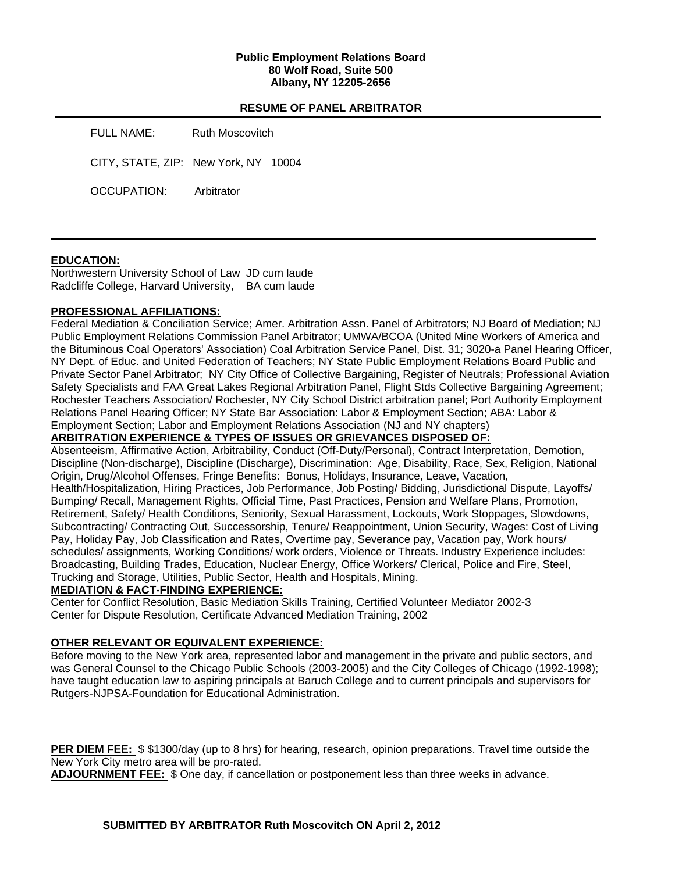### **Public Employment Relations Board 80 Wolf Road, Suite 500 Albany, NY 12205-2656**

# **RESUME OF PANEL ARBITRATOR**

FULL NAME: Ruth Moscovitch

CITY, STATE, ZIP: New York, NY 10004

OCCUPATION: Arbitrator

### **EDUCATION:**

Northwestern University School of Law JD cum laude Radcliffe College, Harvard University, BA cum laude

### **PROFESSIONAL AFFILIATIONS:**

Federal Mediation & Conciliation Service; Amer. Arbitration Assn. Panel of Arbitrators; NJ Board of Mediation; NJ Public Employment Relations Commission Panel Arbitrator; UMWA/BCOA (United Mine Workers of America and the Bituminous Coal Operators' Association) Coal Arbitration Service Panel, Dist. 31; 3020-a Panel Hearing Officer, NY Dept. of Educ. and United Federation of Teachers; NY State Public Employment Relations Board Public and Private Sector Panel Arbitrator; NY City Office of Collective Bargaining, Register of Neutrals; Professional Aviation Safety Specialists and FAA Great Lakes Regional Arbitration Panel, Flight Stds Collective Bargaining Agreement; Rochester Teachers Association/ Rochester, NY City School District arbitration panel; Port Authority Employment Relations Panel Hearing Officer; NY State Bar Association: Labor & Employment Section; ABA: Labor & Employment Section; Labor and Employment Relations Association (NJ and NY chapters)

**ARBITRATION EXPERIENCE & TYPES OF ISSUES OR GRIEVANCES DISPOSED OF:** 

Absenteeism, Affirmative Action, Arbitrability, Conduct (Off-Duty/Personal), Contract Interpretation, Demotion, Discipline (Non-discharge), Discipline (Discharge), Discrimination: Age, Disability, Race, Sex, Religion, National Origin, Drug/Alcohol Offenses, Fringe Benefits: Bonus, Holidays, Insurance, Leave, Vacation, Health/Hospitalization, Hiring Practices, Job Performance, Job Posting/ Bidding, Jurisdictional Dispute, Layoffs/ Bumping/ Recall, Management Rights, Official Time, Past Practices, Pension and Welfare Plans, Promotion, Retirement, Safety/ Health Conditions, Seniority, Sexual Harassment, Lockouts, Work Stoppages, Slowdowns, Subcontracting/ Contracting Out, Successorship, Tenure/ Reappointment, Union Security, Wages: Cost of Living Pay, Holiday Pay, Job Classification and Rates, Overtime pay, Severance pay, Vacation pay, Work hours/ schedules/ assignments, Working Conditions/ work orders, Violence or Threats. Industry Experience includes: Broadcasting, Building Trades, Education, Nuclear Energy, Office Workers/ Clerical, Police and Fire, Steel, Trucking and Storage, Utilities, Public Sector, Health and Hospitals, Mining.

#### **MEDIATION & FACT-FINDING EXPERIENCE:**

Center for Conflict Resolution, Basic Mediation Skills Training, Certified Volunteer Mediator 2002-3 Center for Dispute Resolution, Certificate Advanced Mediation Training, 2002

### **OTHER RELEVANT OR EQUIVALENT EXPERIENCE:**

Before moving to the New York area, represented labor and management in the private and public sectors, and was General Counsel to the Chicago Public Schools (2003-2005) and the City Colleges of Chicago (1992-1998); have taught education law to aspiring principals at Baruch College and to current principals and supervisors for Rutgers-NJPSA-Foundation for Educational Administration.

**PER DIEM FEE:** \$ \$1300/day (up to 8 hrs) for hearing, research, opinion preparations. Travel time outside the New York City metro area will be pro-rated.

**ADJOURNMENT FEE:** \$ One day, if cancellation or postponement less than three weeks in advance.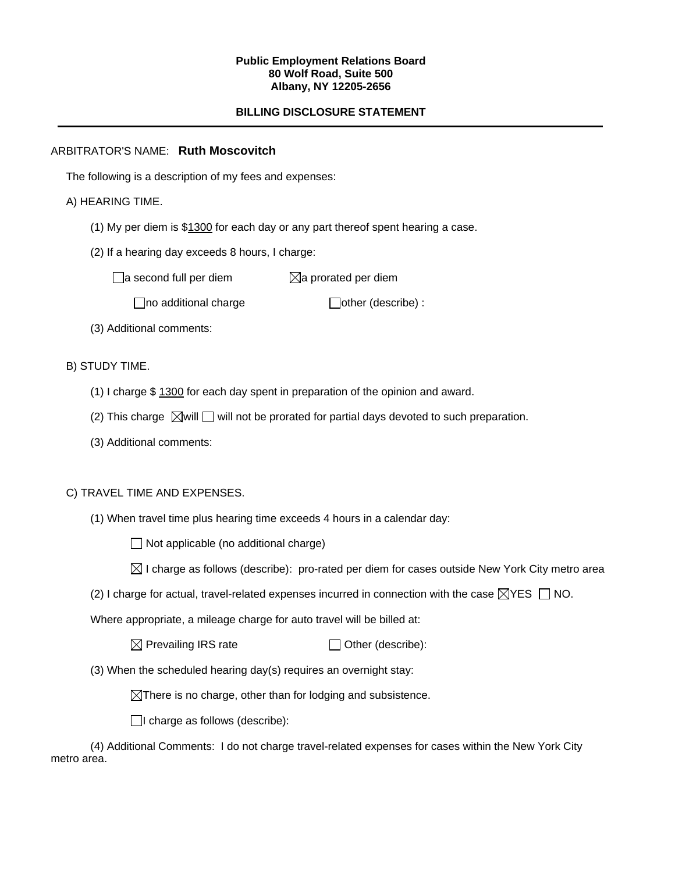#### **Public Employment Relations Board 80 Wolf Road, Suite 500 Albany, NY 12205-2656**

# **BILLING DISCLOSURE STATEMENT**

# ARBITRATOR'S NAME: **Ruth Moscovitch**

The following is a description of my fees and expenses:

# A) HEARING TIME.

- (1) My per diem is \$1300 for each day or any part thereof spent hearing a case.
- (2) If a hearing day exceeds 8 hours, I charge:

 $\Box$ a second full per diem  $\boxtimes$ a prorated per diem

 $\Box$ no additional charge  $\Box$ other (describe) :

(3) Additional comments:

B) STUDY TIME.

- (1) I charge \$ 1300 for each day spent in preparation of the opinion and award.
- (2) This charge  $\boxtimes$  will  $\Box$  will not be prorated for partial days devoted to such preparation.
- (3) Additional comments:

### C) TRAVEL TIME AND EXPENSES.

(1) When travel time plus hearing time exceeds 4 hours in a calendar day:

 $\Box$  Not applicable (no additional charge)

- $\boxtimes$  I charge as follows (describe): pro-rated per diem for cases outside New York City metro area
- (2) I charge for actual, travel-related expenses incurred in connection with the case  $\boxtimes$ YES  $\Box$  NO.

Where appropriate, a mileage charge for auto travel will be billed at:

 $\boxtimes$  Prevailing IRS rate  $\Box$  Other (describe):

(3) When the scheduled hearing day(s) requires an overnight stay:

 $\boxtimes$ There is no charge, other than for lodging and subsistence.

 $\Box$ I charge as follows (describe):

(4) Additional Comments: I do not charge travel-related expenses for cases within the New York City metro area.